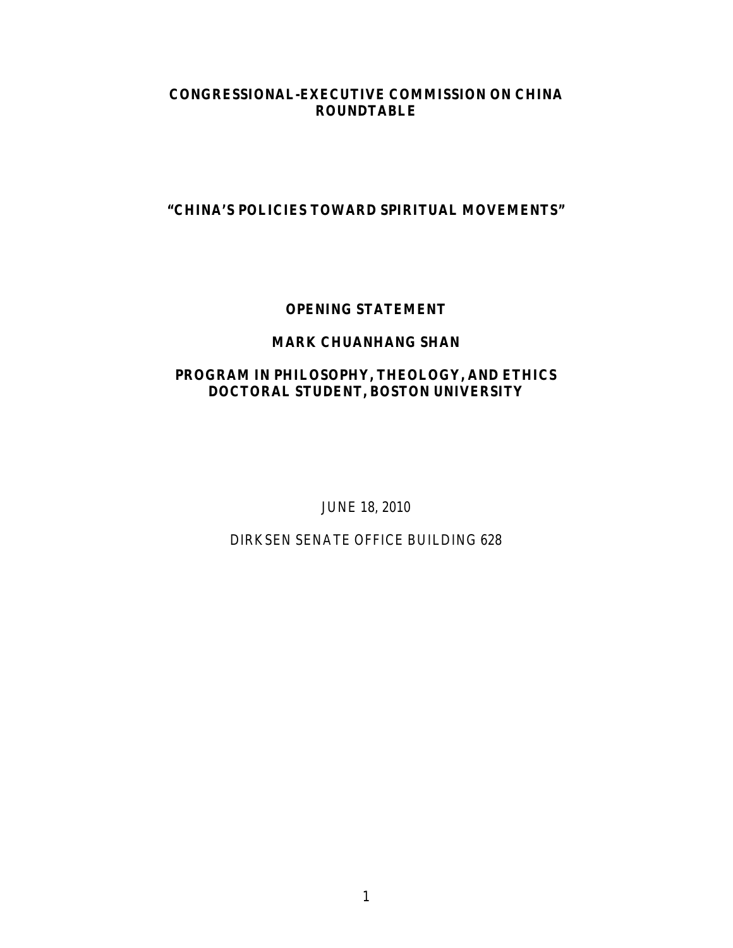## **CONGRESSIONAL-EXECUTIVE COMMISSION ON CHINA ROUNDTABLE**

# **"CHINA'S POLICIES TOWARD SPIRITUAL MOVEMENTS"**

#### **OPENING STATEMENT**

## **MARK CHUANHANG SHAN**

# **PROGRAM IN PHILOSOPHY, THEOLOGY, AND ETHICS DOCTORAL STUDENT, BOSTON UNIVERSITY**

JUNE 18, 2010

DIRKSEN SENATE OFFICE BUILDING 628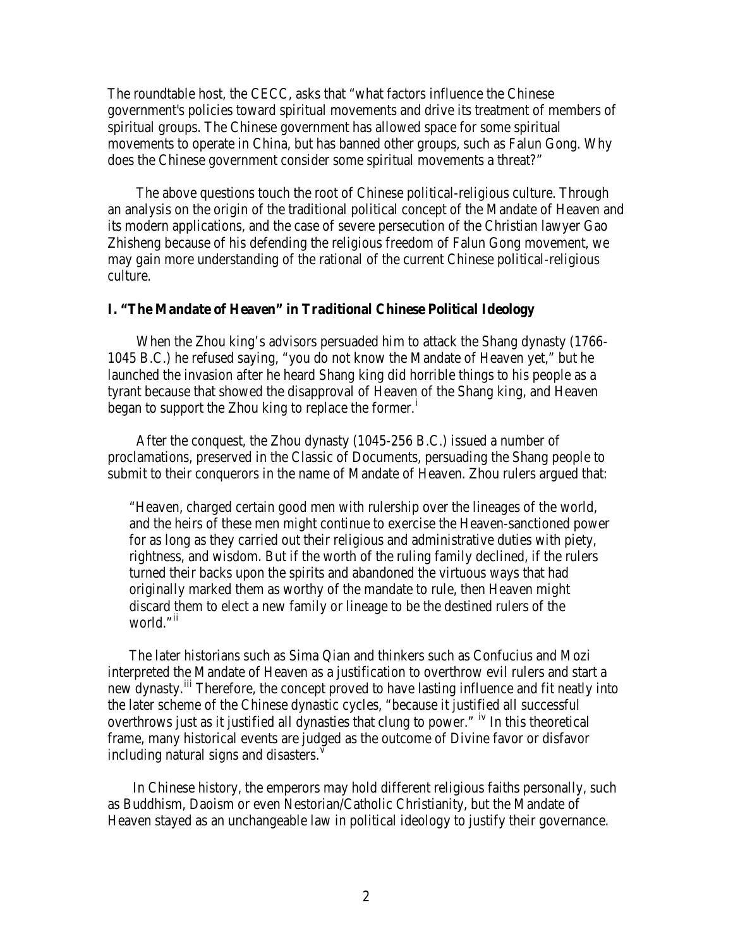The roundtable host, the CECC, asks that "what factors influence the Chinese government's policies toward spiritual movements and drive its treatment of members of spiritual groups. The Chinese government has allowed space for some spiritual movements to operate in China, but has banned other groups, such as Falun Gong. Why does the Chinese government consider some spiritual movements a threat?"

 The above questions touch the root of Chinese political-religious culture. Through an analysis on the origin of the traditional political concept of the Mandate of Heaven and its modern applications, and the case of severe persecution of the Christian lawyer Gao Zhisheng because of his defending the religious freedom of Falun Gong movement, we may gain more understanding of the rational of the current Chinese political-religious culture.

#### **I. "The Mandate of Heaven" in Traditional Chinese Political Ideology**

 When the Zhou king's advisors persuaded him to attack the Shang dynasty (1766- 1045 B.C.) he refused saying, "you do not know the Mandate of Heaven yet," but he launched the invasion after he heard Shang king did horrible things to his people as a tyrant because that showed the disapproval of Heaven of the Shang king, and Heaven began to support the Zhou k[i](#page-2-0)ng to replace the former. $<sup>1</sup>$ </sup>

 After the conquest, the Zhou dynasty (1045-256 B.C.) issued a number of proclamations, preserved in the Classic of Documents, persuading the Shang people to submit to their conquerors in the name of Mandate of Heaven. Zhou rulers argued that:

"Heaven, charged certain good men with rulership over the lineages of the world, and the heirs of these men might continue to exercise the Heaven-sanctioned power for as long as they carried out their religious and administrative duties with piety, rightness, and wisdom. But if the worth of the ruling family declined, if the rulers turned their backs upon the spirits and abandoned the virtuous ways that had originally marked them as worthy of the mandate to rule, then Heaven might discard them to elect a new family or lineage to be the destined rulers of the world."<sup>[ii](#page-2-1)</sup>

 The later historians such as Sima Qian and thinkers such as Confucius and Mozi interpreted the Mandate of Heaven as a justification to overthrow evil rulers and start a new dynasty.<sup>[iii](#page-2-2)</sup> Therefore, the concept proved to have lasting influence and fit neatly into the later scheme of the Chinese dynastic cycles, "because it justified all successful overthrows just as it justified all dynasties that clung to power." <sup>[iv](#page-2-3)</sup> In this theoretical frame, many historical events are judged as the outcome of Divine favor or disfavor including natural signs and disasters. $v$ 

 In Chinese history, the emperors may hold different religious faiths personally, such as Buddhism, Daoism or even Nestorian/Catholic Christianity, but the Mandate of Heaven stayed as an unchangeable law in political ideology to justify their governance.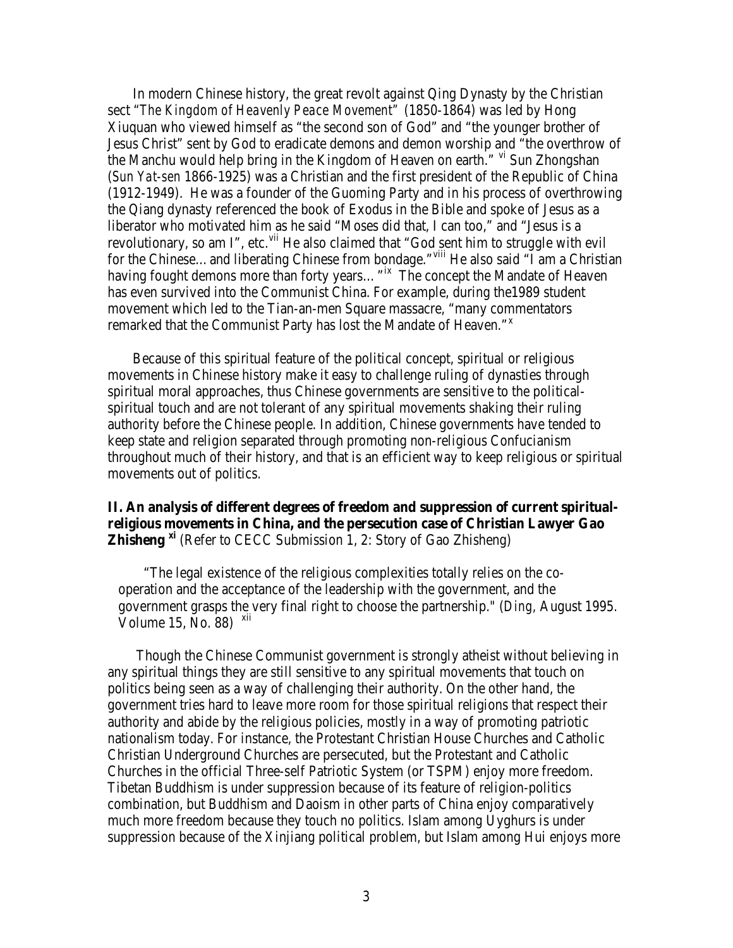<span id="page-2-4"></span><span id="page-2-3"></span><span id="page-2-2"></span><span id="page-2-1"></span><span id="page-2-0"></span> In modern Chinese history, the great revolt against Qing Dynasty by the Christian sect "*The Kingdom of Heavenly Peace Movement"* (1850-1864) was led by Hong Xiuquan who viewed himself as "the second son of God" and "the younger brother of Jesus Christ" sent by God to eradicate demons and demon worship and "the overthrow of the Manchu would help bring in the Kingdom of Heaven on earth." <sup>[vi](#page-2-5)</sup> Sun Zhongshan (*Sun Yat-sen* 1866-1925) was a Christian and the first president of the Republic of China (1912-1949). He was a founder of the Guoming Party and in his process of overthrowing the Qiang dynasty referenced the book of Exodus in the Bible and spoke of Jesus as a liberator who motivated him as he said "Moses did that, I can too," and "Jesus is a revolutionary, so am I", etc.  $\theta$ <sup>[vii](#page-2-6)</sup> He also claimed that "God sent him to struggle with evil for the Chinese...and liberating Chinese from bondage."<sup>[viii](#page-2-7)</sup> He also said "I am a Christian" having fought demons more than forty years..."<sup>[ix](#page-2-8)</sup> The concept the Mandate of Heaven has even survived into the Communist China. For example, during the1989 student movement which led to the Tian-an-men Square massacre, "many commentators remarked that the Communist Party has lost the Mandate of Heaven."<sup>[x](#page-2-9)</sup>

<span id="page-2-14"></span><span id="page-2-13"></span><span id="page-2-12"></span><span id="page-2-11"></span><span id="page-2-10"></span><span id="page-2-9"></span><span id="page-2-8"></span><span id="page-2-7"></span><span id="page-2-6"></span><span id="page-2-5"></span> Because of this spiritual feature of the political concept, spiritual or religious movements in Chinese history make it easy to challenge ruling of dynasties through spiritual moral approaches, thus Chinese governments are sensitive to the politicalspiritual touch and are not tolerant of any spiritual movements shaking their ruling authority before the Chinese people. In addition, Chinese governments have tended to keep state and religion separated through promoting non-religious Confucianism throughout much of their history, and that is an efficient way to keep religious or spiritual movements out of politics.

## <span id="page-2-17"></span><span id="page-2-16"></span><span id="page-2-15"></span>**II. An analysis of different degrees of freedom and suppression of current spiritualreligious movements in China, and the persecution case of Christian Lawyer Gao Zhisheng x**<sup>i</sup> (Refer to CECC Submission 1, 2: Story of Gao Zhisheng)

 "The legal existence of the religious complexities totally relies on the cooperation and the acceptance of the leadership with the government, and the government grasps the very final right to choose the partnership." (*Ding,* August 1995. Volume 15, No. 88)  $\frac{X}{11}$ 

 Though the Chinese Communist government is strongly atheist without believing in any spiritual things they are still sensitive to any spiritual movements that touch on politics being seen as a way of challenging their authority. On the other hand, the government tries hard to leave more room for those spiritual religions that respect their authority and abide by the religious policies, mostly in a way of promoting patriotic nationalism today. For instance, the Protestant Christian House Churches and Catholic Christian Underground Churches are persecuted, but the Protestant and Catholic Churches in the official Three-self Patriotic System (or TSPM) enjoy more freedom. Tibetan Buddhism is under suppression because of its feature of religion-politics combination, but Buddhism and Daoism in other parts of China enjoy comparatively much more freedom because they touch no politics. Islam among Uyghurs is under suppression because of the Xinjiang political problem, but Islam among Hui enjoys more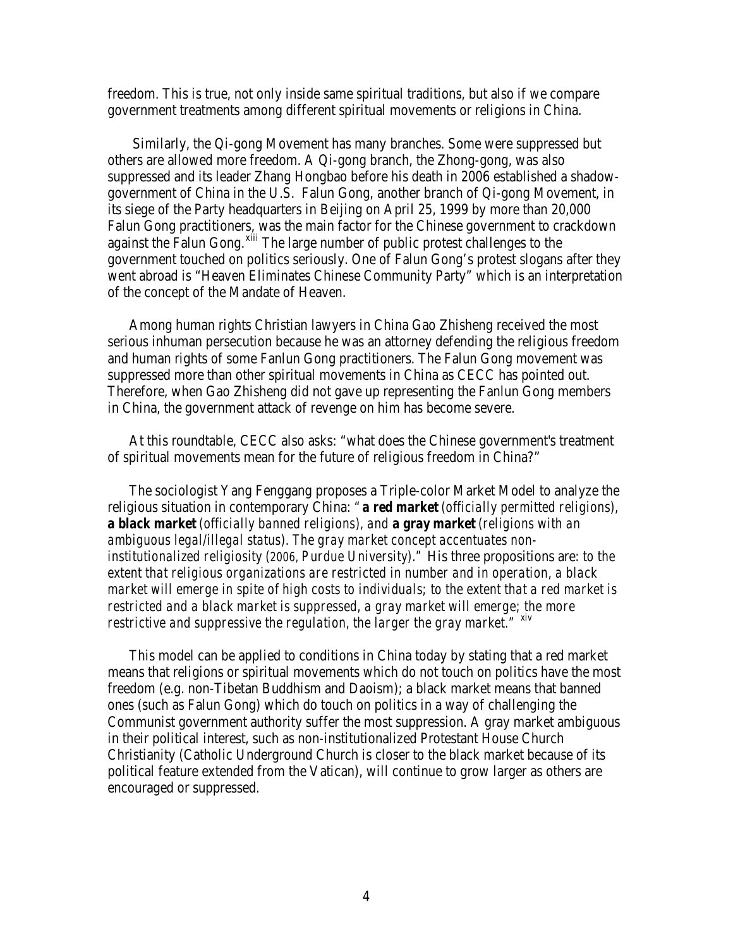freedom. This is true, not only inside same spiritual traditions, but also if we compare government treatments among different spiritual movements or religions in China.

 Similarly, the Qi-gong Movement has many branches. Some were suppressed but others are allowed more freedom. A Qi-gong branch, the Zhong-gong, was also suppressed and its leader Zhang Hongbao before his death in 2006 established a shadowgovernment of China in the U.S. Falun Gong, another branch of Qi-gong Movement, in its siege of the Party headquarters in Beijing on April 25, 1999 by more than 20,000 Falun Gong practitioners, was the main factor for the Chinese government to crackdown against the Falun Gong.<sup>[xiii](#page-2-12)</sup> The large number of public protest challenges to the government touched on politics seriously. One of Falun Gong's protest slogans after they went abroad is "Heaven Eliminates Chinese Community Party" which is an interpretation of the concept of the Mandate of Heaven.

 Among human rights Christian lawyers in China Gao Zhisheng received the most serious inhuman persecution because he was an attorney defending the religious freedom and human rights of some Fanlun Gong practitioners. The Falun Gong movement was suppressed more than other spiritual movements in China as CECC has pointed out. Therefore, when Gao Zhisheng did not gave up representing the Fanlun Gong members in China, the government attack of revenge on him has become severe.

 At this roundtable, CECC also asks: "what does the Chinese government's treatment of spiritual movements mean for the future of religious freedom in China?"

 The sociologist Yang Fenggang proposes a Triple-color Market Model to analyze the religious situation in contemporary China: *"a red market (officially permitted religions), a black market (officially banned religions), and a gray market (religions with an ambiguous legal/illegal status). The gray market concept accentuates noninstitutionalized religiosity (2006, Purdue University)."* His three propositions are: *to the extent that religious organizations are restricted in number and in operation, a black market will emerge in spite of high costs to individuals; to the extent that a red market is restricted and a black market is suppressed, a gray market will emerge; the more restrictive and suppressive the regulation, the larger the gray market." [xiv](#page-2-13)* 

This model can be applied to conditions in China today by stating that a red market means that religions or spiritual movements which do not touch on politics have the most freedom (e.g. non-Tibetan Buddhism and Daoism); a black market means that banned ones (such as Falun Gong) which do touch on politics in a way of challenging the Communist government authority suffer the most suppression. A gray market ambiguous in their political interest, such as non-institutionalized Protestant House Church Christianity (Catholic Underground Church is closer to the black market because of its political feature extended from the Vatican), will continue to grow larger as others are encouraged or suppressed.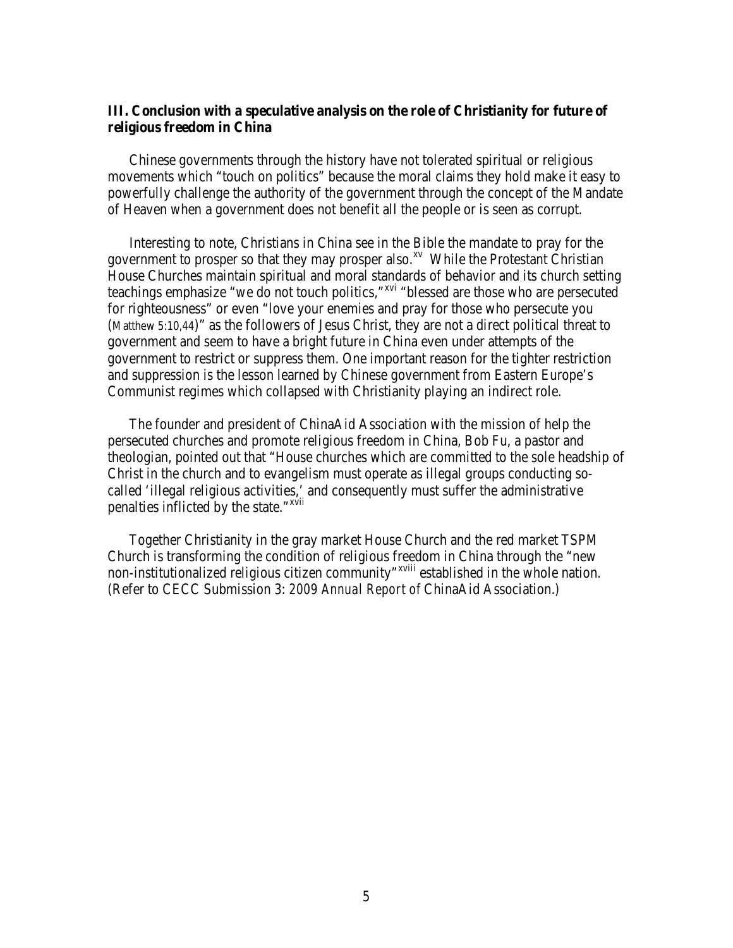### **III. Conclusion with a speculative analysis on the role of Christianity for future of religious freedom in China**

 Chinese governments through the history have not tolerated spiritual or religious movements which "touch on politics" because the moral claims they hold make it easy to powerfully challenge the authority of the government through the concept of the Mandate of Heaven when a government does not benefit all the people or is seen as corrupt.

 Interesting to note, Christians in China see in the Bible the mandate to pray for the government to prosper so that they may prosper also.<sup>[xv](#page-2-14)</sup> While the Protestant Christian House Churches maintain spiritual and moral standards of behavior and its church setting teachings emphasize "we do not touch politics,"<sup>[xvi](#page-2-15)</sup> "blessed are those who are persecuted for righteousness" or even "love your enemies and pray for those who persecute you (Matthew 5:10,44)" as the followers of Jesus Christ, they are not a direct political threat to government and seem to have a bright future in China even under attempts of the government to restrict or suppress them. One important reason for the tighter restriction and suppression is the lesson learned by Chinese government from Eastern Europe's Communist regimes which collapsed with Christianity playing an indirect role.

 The founder and president of ChinaAid Association with the mission of help the persecuted churches and promote religious freedom in China, Bob Fu, a pastor and theologian, pointed out that "House churches which are committed to the sole headship of Christ in the church and to evangelism must operate as illegal groups conducting socalled 'illegal religious activities,' and consequently must suffer the administrative penalties inflicted by the state."<sup>[xvii](#page-2-16)</sup>

 Together Christianity in the gray market House Church and the red market TSPM Church is transforming the condition of religious freedom in China through the "new non-institutionaliz[e](#page-2-17)d religious citizen community"<sup>xviii</sup> established in the whole nation. (Refer to CECC Submission 3: *2009 Annual Report of* ChinaAid Association.)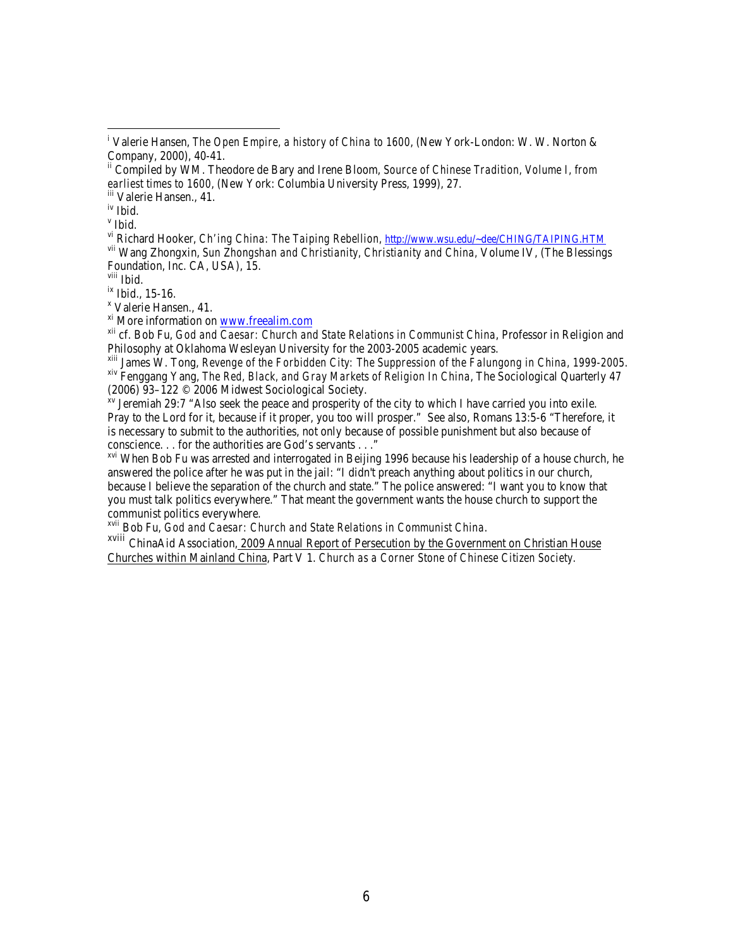<sup>iv</sup> Ibid.<br><sup>v</sup> Ibid.

vi Richard Hooker, *Ch'ing China: The Taiping Rebellion*, <http://www.wsu.edu/~dee/CHING/TAIPING.HTM> vii Wang Zhongxin, *Sun Zhongshan and Christianity, Christianity and China,* Volume IV, (The Blessings Foundation, Inc. CA, USA), 15.<br>viii Ibid.

<sup>ix</sup> Ibid., 15-16.<br><sup>x</sup> Valerie Hansen., 41.<br><sup>xi</sup> More information on www.freealim.com

<sup>xii</sup> cf. Bob Fu, *God and Caesar: Church and State Relations in Communist China*, Professor in Religion and Philosophy at Oklahoma Wesleyan University for the 2003-2005 academic years.

<sup>xiii</sup> James W. Tong, *Revenge of the Forbidden City: The Suppression of the Falungong in China, 1999-2005.*<br><sup>xiv</sup> Fenggang Yang, *The Red, Black, and Gray Markets of Religion In China*, The Sociological Quarterly 47<br>(200

 $\frac{\partial x}{\partial y}$  Jeremiah 29:7 "Also seek the peace and prosperity of the city to which I have carried you into exile. Pray to the Lord for it, because if it proper, you too will prosper." See also, Romans 13:5-6 "Therefore, it is necessary to submit to the authorities, not only because of possible punishment but also because of conscience. . . for the authorities are God's servants . . ."

<sup>xvi</sup> When Bob Fu was arrested and interrogated in Beijing 1996 because his leadership of a house church, he answered the police after he was put in the jail: "I didn't preach anything about politics in our church, because I believe the separation of the church and state." The police answered: "I want you to know that you must talk politics everywhere." That meant the government wants the house church to support the communist politics everywhere.<br>
<sup>xvii</sup> Bob Fu, *God and Caesar: Church and State Relations in Communist China*.

xviii ChinaAid Association, 2009 Annual Report of Persecution by the Government on Christian House Churches within Mainland China, Part V 1. *Church as a Corner Stone of Chinese Citizen Society.*

i <sup>i</sup> Valerie Hansen, *The Open Empire, a history of China to 1600*, (New York-London: W. W. Norton & Company, 2000), 40-41.<br><sup>ii</sup> Compiled by WM. Theodore de Bary and Irene Bloom, *Source of Chinese Tradition, Volume I, from* 

*earliest times to 1600*, (New York: Columbia University Press, 1999), 27. iii Valerie Hansen., 41.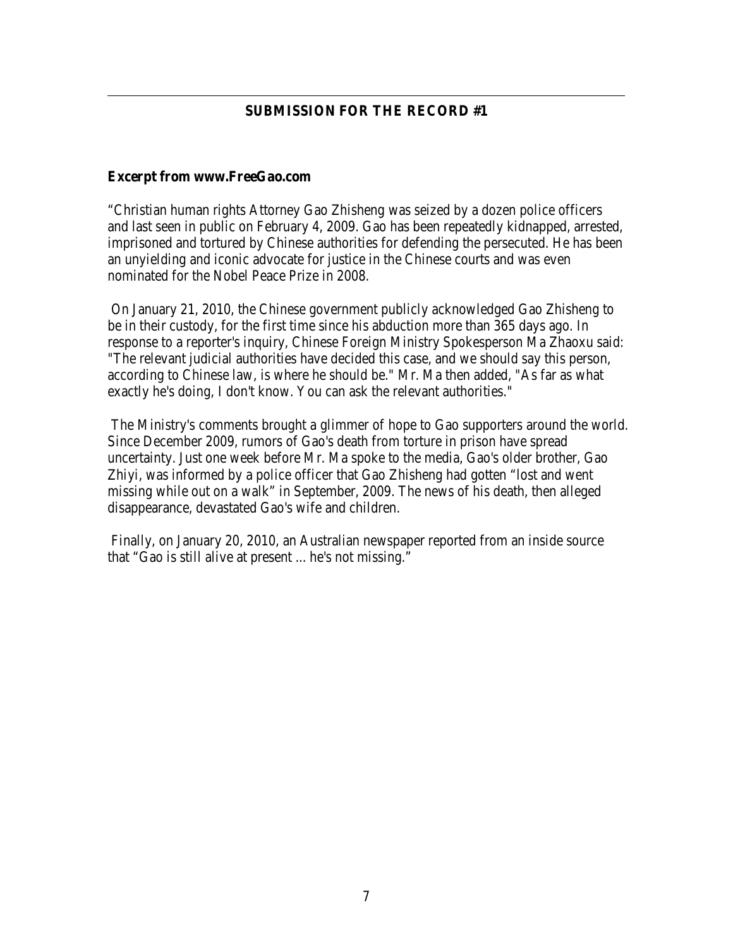## **SUBMISSION FOR THE RECORD #1**

#### **Excerpt from www.FreeGao.com**

 $\overline{a}$ 

"Christian human rights Attorney Gao Zhisheng was seized by a dozen police officers and last seen in public on February 4, 2009. Gao has been repeatedly kidnapped, arrested, imprisoned and tortured by Chinese authorities for defending the persecuted. He has been an unyielding and iconic advocate for justice in the Chinese courts and was even nominated for the Nobel Peace Prize in 2008.

On January 21, 2010, the Chinese government publicly acknowledged Gao Zhisheng to be in their custody, for the first time since his abduction more than 365 days ago. In response to a reporter's inquiry, Chinese Foreign Ministry Spokesperson Ma Zhaoxu said: "The relevant judicial authorities have decided this case, and we should say this person, according to Chinese law, is where he should be." Mr. Ma then added, "As far as what exactly he's doing, I don't know. You can ask the relevant authorities."

The Ministry's comments brought a glimmer of hope to Gao supporters around the world. Since December 2009, rumors of Gao's death from torture in prison have spread uncertainty. Just one week before Mr. Ma spoke to the media, Gao's older brother, Gao Zhiyi, was informed by a police officer that Gao Zhisheng had gotten "lost and went missing while out on a walk" in September, 2009. The news of his death, then alleged disappearance, devastated Gao's wife and children.

Finally, on January 20, 2010, an Australian newspaper reported from an inside source that "Gao is still alive at present ... he's not missing."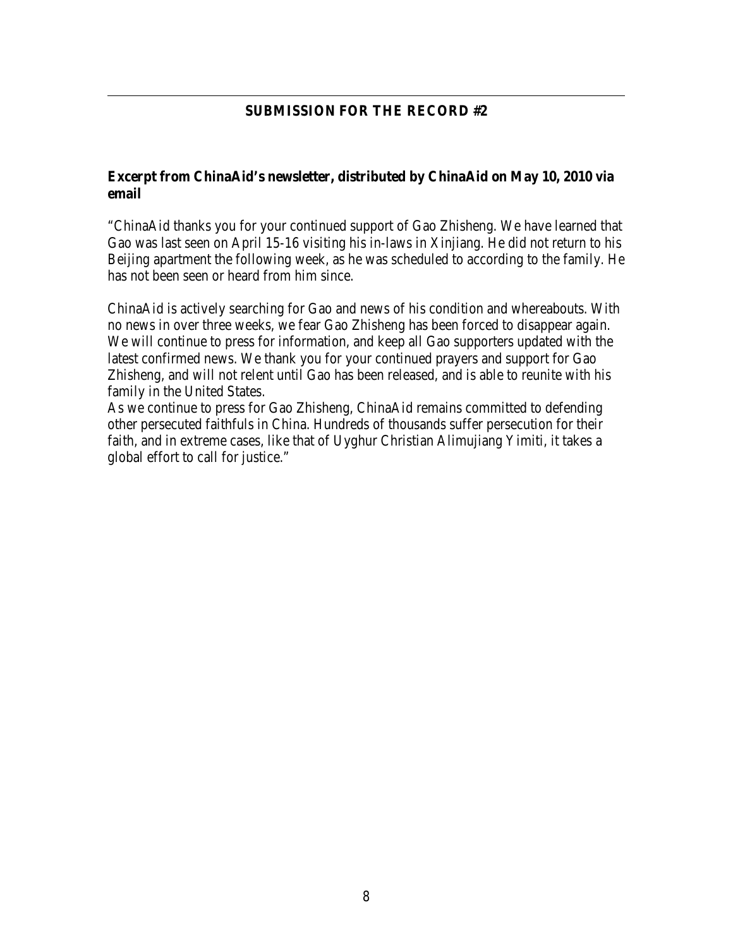## **SUBMISSION FOR THE RECORD #2**

 $\overline{a}$ 

## **Excerpt from ChinaAid's newsletter, distributed by ChinaAid on May 10, 2010 via email**

["ChinaAid](http://www.chinaaid.org/) thanks you for your continued support of Gao Zhisheng. We have learned that Gao was last seen on April 15-16 visiting his in-laws in Xinjiang. He did not return to his Beijing apartment the following week, as he was scheduled to according to the family. He has not been seen or heard from him since.

[ChinaAid](http://www.chinaaid.org/) is actively searching for Gao and news of his condition and whereabouts. With no news in over three weeks, we fear Gao Zhisheng has been forced to disappear again. We will continue to press for information, and keep all Gao supporters updated with the latest confirmed news. We thank you for your continued prayers and support for Gao Zhisheng, and will not relent until Gao has been released, and is able to reunite with his family in the United States.

As we continue to press for Gao Zhisheng, ChinaAid remains committed to defending other persecuted faithfuls in China. Hundreds of thousands suffer persecution for their faith, and in extreme cases, like that of Uyghur Christian Alimujiang Yimiti, it takes a global effort to call for justice."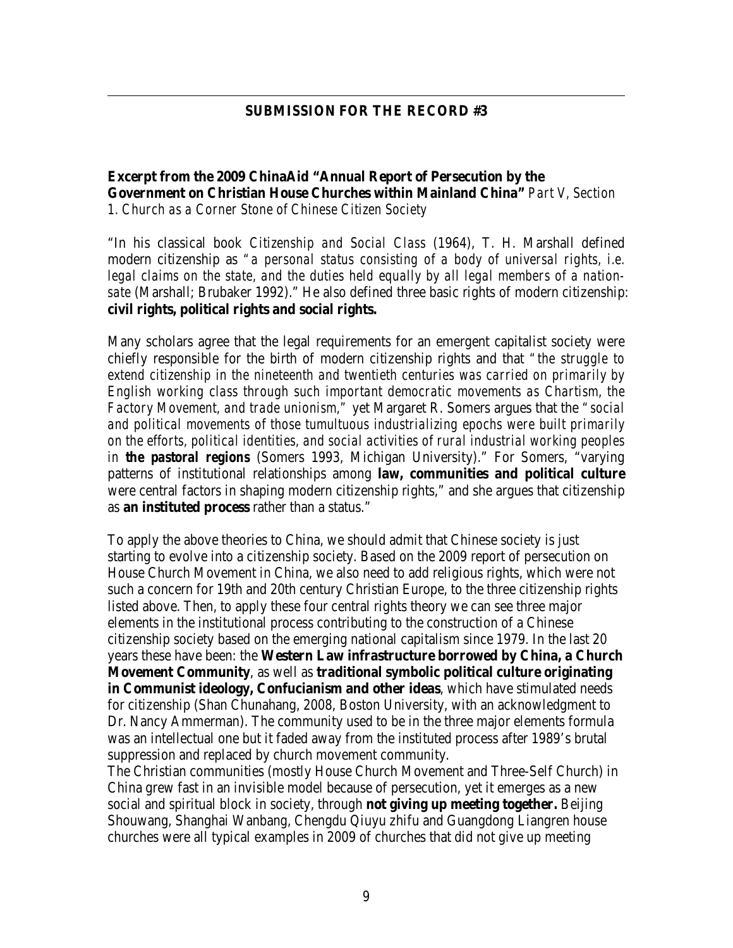#### **SUBMISSION FOR THE RECORD #3**

 $\overline{a}$ 

**Excerpt from the 2009 ChinaAid "Annual Report of Persecution by the Government on Christian House Churches within Mainland China"** *Part V, Section 1. Church as a Corner Stone of Chinese Citizen Society*

"In his classical book *Citizenship and Social Class* (1964), T. H. Marshall defined modern citizenship as *"a personal status consisting of a body of universal rights, i.e. legal claims on the state, and the duties held equally by all legal members of a nationsate* (Marshall; Brubaker 1992)." He also defined three basic rights of modern citizenship: **civil rights, political rights and social rights.** 

Many scholars agree that the legal requirements for an emergent capitalist society were chiefly responsible for the birth of modern citizenship rights and that *"the struggle to extend citizenship in the nineteenth and twentieth centuries was carried on primarily by English working class through such important democratic movements as Chartism, the Factory Movement, and trade unionism,"* yet Margaret R. Somers argues that the *"social and political movements of those tumultuous industrializing epochs were built primarily on the efforts, political identities, and social activities of rural industrial working peoples in the pastoral regions* (Somers 1993, Michigan University)." For Somers, "varying patterns of institutional relationships among **law, communities and political culture**  were central factors in shaping modern citizenship rights," and she argues that citizenship as **an instituted process** rather than a status."

To apply the above theories to China, we should admit that Chinese society is just starting to evolve into a citizenship society. Based on the 2009 report of persecution on House Church Movement in China, we also need to add religious rights, which were not such a concern for 19th and 20th century Christian Europe, to the three citizenship rights listed above. Then, to apply these four central rights theory we can see three major elements in the institutional process contributing to the construction of a Chinese citizenship society based on the emerging national capitalism since 1979. In the last 20 years these have been: the **Western Law infrastructure borrowed by China, a Church Movement Community**, as well as **traditional symbolic political culture originating in Communist ideology, Confucianism and other ideas**, which have stimulated needs for citizenship (Shan Chunahang, 2008, Boston University, with an acknowledgment to Dr. Nancy Ammerman). The community used to be in the three major elements formula was an intellectual one but it faded away from the instituted process after 1989's brutal suppression and replaced by church movement community.

The Christian communities (mostly House Church Movement and Three-Self Church) in China grew fast in an invisible model because of persecution, yet it emerges as a new social and spiritual block in society, through **not giving up meeting together.** Beijing Shouwang, Shanghai Wanbang, Chengdu Qiuyu zhifu and Guangdong Liangren house churches were all typical examples in 2009 of churches that did not give up meeting